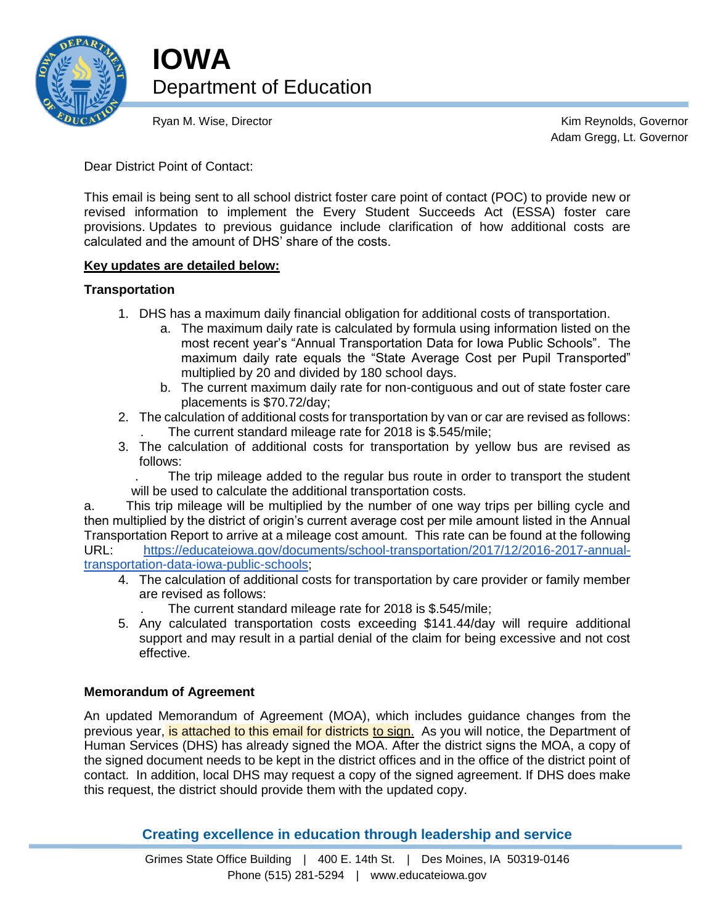

**IOWA** Department of Education

Ryan M. Wise, Director **Kim Reynolds**, Governor **Kim Reynolds**, Governor Adam Gregg, Lt. Governor

Dear District Point of Contact:

This email is being sent to all school district foster care point of contact (POC) to provide new or revised information to implement the Every Student Succeeds Act (ESSA) foster care provisions. Updates to previous guidance include clarification of how additional costs are calculated and the amount of DHS' share of the costs.

# **Key updates are detailed below:**

# **Transportation**

- 1. DHS has a maximum daily financial obligation for additional costs of transportation.
	- a. The maximum daily rate is calculated by formula using information listed on the most recent year's "Annual Transportation Data for Iowa Public Schools". The maximum daily rate equals the "State Average Cost per Pupil Transported" multiplied by 20 and divided by 180 school days.
	- b. The current maximum daily rate for non-contiguous and out of state foster care placements is \$70.72/day;
- 2. The calculation of additional costs for transportation by van or car are revised as follows: . The current standard mileage rate for 2018 is \$.545/mile;
- 3. The calculation of additional costs for transportation by yellow bus are revised as follows:

. The trip mileage added to the regular bus route in order to transport the student will be used to calculate the additional transportation costs.

a. This trip mileage will be multiplied by the number of one way trips per billing cycle and then multiplied by the district of origin's current average cost per mile amount listed in the Annual Transportation Report to arrive at a mileage cost amount. This rate can be found at the following URL: [https://educateiowa.gov/documents/school-transportation/2017/12/2016-2017-annual](https://educateiowa.gov/documents/school-transportation/2017/12/2016-2017-annual-transportation-data-iowa-public-schools)[transportation-data-iowa-public-schools;](https://educateiowa.gov/documents/school-transportation/2017/12/2016-2017-annual-transportation-data-iowa-public-schools)

- 4. The calculation of additional costs for transportation by care provider or family member are revised as follows:
	- . The current standard mileage rate for 2018 is \$.545/mile;
- 5. Any calculated transportation costs exceeding \$141.44/day will require additional support and may result in a partial denial of the claim for being excessive and not cost effective.

# **Memorandum of Agreement**

An updated Memorandum of Agreement (MOA), which includes guidance changes from the previous year, is attached to this email for districts to sign. As you will notice, the Department of Human Services (DHS) has already signed the MOA. After the district signs the MOA, a copy of the signed document needs to be kept in the district offices and in the office of the district point of contact. In addition, local DHS may request a copy of the signed agreement. If DHS does make this request, the district should provide them with the updated copy.

**Creating excellence in education through leadership and service**